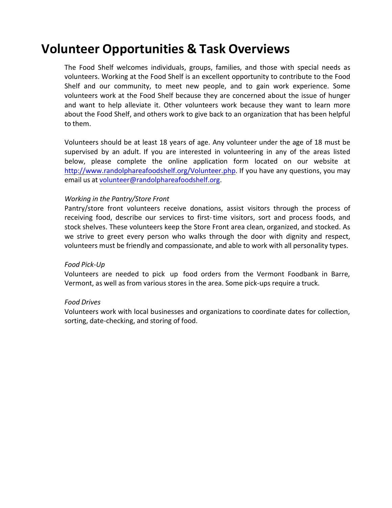# **Volunteer Opportunities & Task Overviews**

The Food Shelf welcomes individuals, groups, families, and those with special needs as volunteers. Working at the Food Shelf is an excellent opportunity to contribute to the Food Shelf and our community, to meet new people, and to gain work experience. Some volunteers work at the Food Shelf because they are concerned about the issue of hunger and want to help alleviate it. Other volunteers work because they want to learn more about the Food Shelf, and others work to give back to an organization that has been helpful to them.

Volunteers should be at least 18 years of age. Any volunteer under the age of 18 must be supervised by an adult. If you are interested in volunteering in any of the areas listed below, please complete the online application form located on our website at http://www.randolphareafoodshelf.org/Volunteer.php. If you have any questions, you may email us at volunteer@randolphareafoodshelf.org.

## *Working in the Pantry/Store Front*

Pantry/store front volunteers receive donations, assist visitors through the process of receiving food, describe our services to first-time visitors, sort and process foods, and stock shelves. These volunteers keep the Store Front area clean, organized, and stocked. As we strive to greet every person who walks through the door with dignity and respect, volunteers must be friendly and compassionate, and able to work with all personality types.

## *Food Pick-Up*

Volunteers are needed to pick up food orders from the Vermont Foodbank in Barre, Vermont, as well as from various stores in the area. Some pick-ups require a truck.

## *Food Drives*

Volunteers work with local businesses and organizations to coordinate dates for collection, sorting, date-checking, and storing of food.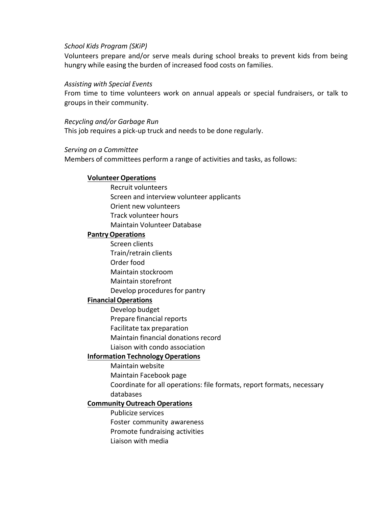#### *School Kids Program (SKiP)*

Volunteers prepare and/or serve meals during school breaks to prevent kids from being hungry while easing the burden of increased food costs on families.

#### *Assisting with Special Events*

From time to time volunteers work on annual appeals or special fundraisers, or talk to groups in their community.

#### *Recycling and/or Garbage Run*

This job requires a pick-up truck and needs to be done regularly.

#### *Serving on a Committee*

Members of committees perform a range of activities and tasks, as follows:

#### **Volunteer Operations**

Recruit volunteers Screen and interview volunteer applicants Orient new volunteers Track volunteer hours Maintain Volunteer Database

#### **PantryOperations**

Screen clients Train/retrain clients Order food Maintain stockroom Maintain storefront Develop procedures for pantry

## **FinancialOperations**

Develop budget Prepare financial reports Facilitate tax preparation Maintain financial donations record Liaison with condo association

## **Information Technology Operations**

Maintain website

Maintain Facebook page

Coordinate for all operations: file formats, report formats, necessary databases

## **Community Outreach Operations**

Publicize services Foster community awareness Promote fundraising activities Liaison with media